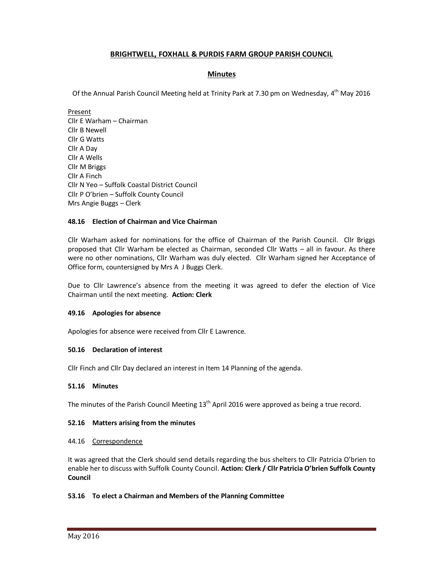# **BRIGHTWELL, FOXHALL & PURDIS FARM GROUP PARISH COUNCIL**

# **Minutes**

Of the Annual Parish Council Meeting held at Trinity Park at 7.30 pm on Wednesday, 4<sup>th</sup> May 2016

Present Cllr E Warham – Chairman Cllr B Newell Cllr G Watts Cllr A Day Cllr A Wells Cllr M Briggs Cllr A Finch Cllr N Yeo – Suffolk Coastal District Council Cllr P O'brien – Suffolk County Council Mrs Angie Buggs – Clerk

# **48.16 Election of Chairman and Vice Chairman**

Cllr Warham asked for nominations for the office of Chairman of the Parish Council. Cllr Briggs proposed that Cllr Warham be elected as Chairman, seconded Cllr Watts – all in favour. As there were no other nominations, Cllr Warham was duly elected. Cllr Warham signed her Acceptance of Office form, countersigned by Mrs A J Buggs Clerk.

Due to Cllr Lawrence's absence from the meeting it was agreed to defer the election of Vice Chairman until the next meeting. **Action: Clerk** 

# **49.16 Apologies for absence**

Apologies for absence were received from Cllr E Lawrence.

# **50.16 Declaration of interest**

Cllr Finch and Cllr Day declared an interest in Item 14 Planning of the agenda.

# **51.16 Minutes**

The minutes of the Parish Council Meeting  $13<sup>th</sup>$  April 2016 were approved as being a true record.

# **52.16 Matters arising from the minutes**

## 44.16 Correspondence

It was agreed that the Clerk should send details regarding the bus shelters to Cllr Patricia O'brien to enable her to discuss with Suffolk County Council. **Action: Clerk / Cllr Patricia O'brien Suffolk County Council** 

# **53.16 To elect a Chairman and Members of the Planning Committee**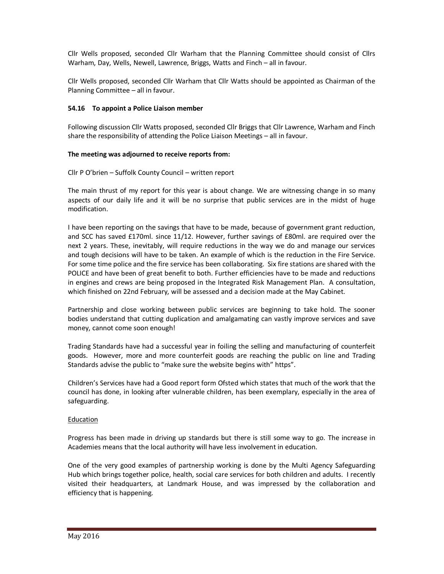Cllr Wells proposed, seconded Cllr Warham that the Planning Committee should consist of Cllrs Warham, Day, Wells, Newell, Lawrence, Briggs, Watts and Finch – all in favour.

Cllr Wells proposed, seconded Cllr Warham that Cllr Watts should be appointed as Chairman of the Planning Committee – all in favour.

## **54.16 To appoint a Police Liaison member**

Following discussion Cllr Watts proposed, seconded Cllr Briggs that Cllr Lawrence, Warham and Finch share the responsibility of attending the Police Liaison Meetings – all in favour.

# **The meeting was adjourned to receive reports from:**

Cllr P O'brien – Suffolk County Council – written report

The main thrust of my report for this year is about change. We are witnessing change in so many aspects of our daily life and it will be no surprise that public services are in the midst of huge modification.

I have been reporting on the savings that have to be made, because of government grant reduction, and SCC has saved £170ml. since 11/12. However, further savings of £80ml. are required over the next 2 years. These, inevitably, will require reductions in the way we do and manage our services and tough decisions will have to be taken. An example of which is the reduction in the Fire Service. For some time police and the fire service has been collaborating. Six fire stations are shared with the POLICE and have been of great benefit to both. Further efficiencies have to be made and reductions in engines and crews are being proposed in the Integrated Risk Management Plan. A consultation, which finished on 22nd February, will be assessed and a decision made at the May Cabinet.

Partnership and close working between public services are beginning to take hold. The sooner bodies understand that cutting duplication and amalgamating can vastly improve services and save money, cannot come soon enough!

Trading Standards have had a successful year in foiling the selling and manufacturing of counterfeit goods. However, more and more counterfeit goods are reaching the public on line and Trading Standards advise the public to "make sure the website begins with" https".

Children's Services have had a Good report form Ofsted which states that much of the work that the council has done, in looking after vulnerable children, has been exemplary, especially in the area of safeguarding.

## Education

Progress has been made in driving up standards but there is still some way to go. The increase in Academies means that the local authority will have less involvement in education.

One of the very good examples of partnership working is done by the Multi Agency Safeguarding Hub which brings together police, health, social care services for both children and adults. I recently visited their headquarters, at Landmark House, and was impressed by the collaboration and efficiency that is happening.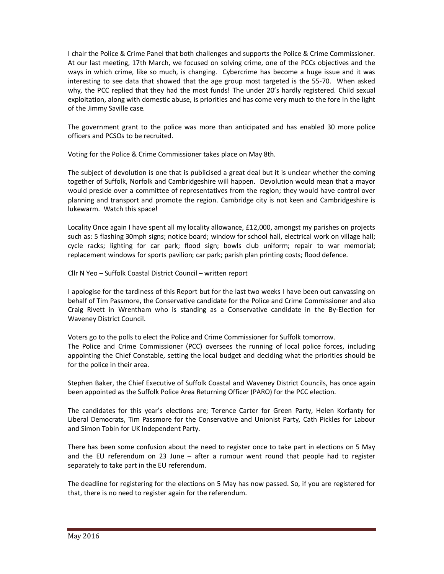I chair the Police & Crime Panel that both challenges and supports the Police & Crime Commissioner. At our last meeting, 17th March, we focused on solving crime, one of the PCCs objectives and the ways in which crime, like so much, is changing. Cybercrime has become a huge issue and it was interesting to see data that showed that the age group most targeted is the 55-70. When asked why, the PCC replied that they had the most funds! The under 20's hardly registered. Child sexual exploitation, along with domestic abuse, is priorities and has come very much to the fore in the light of the Jimmy Saville case.

The government grant to the police was more than anticipated and has enabled 30 more police officers and PCSOs to be recruited.

Voting for the Police & Crime Commissioner takes place on May 8th.

The subject of devolution is one that is publicised a great deal but it is unclear whether the coming together of Suffolk, Norfolk and Cambridgeshire will happen. Devolution would mean that a mayor would preside over a committee of representatives from the region; they would have control over planning and transport and promote the region. Cambridge city is not keen and Cambridgeshire is lukewarm. Watch this space!

Locality Once again I have spent all my locality allowance, £12,000, amongst my parishes on projects such as: 5 flashing 30mph signs; notice board; window for school hall, electrical work on village hall; cycle racks; lighting for car park; flood sign; bowls club uniform; repair to war memorial; replacement windows for sports pavilion; car park; parish plan printing costs; flood defence.

Cllr N Yeo – Suffolk Coastal District Council – written report

I apologise for the tardiness of this Report but for the last two weeks I have been out canvassing on behalf of Tim Passmore, the Conservative candidate for the Police and Crime Commissioner and also Craig Rivett in Wrentham who is standing as a Conservative candidate in the By-Election for Waveney District Council.

Voters go to the polls to elect the Police and Crime Commissioner for Suffolk tomorrow. The Police and Crime Commissioner (PCC) oversees the running of local police forces, including appointing the Chief Constable, setting the local budget and deciding what the priorities should be for the police in their area.

Stephen Baker, the Chief Executive of Suffolk Coastal and Waveney District Councils, has once again been appointed as the Suffolk Police Area Returning Officer (PARO) for the PCC election.

The candidates for this year's elections are; Terence Carter for Green Party, Helen Korfanty for Liberal Democrats, Tim Passmore for the Conservative and Unionist Party, Cath Pickles for Labour and Simon Tobin for UK Independent Party.

There has been some confusion about the need to register once to take part in elections on 5 May and the EU referendum on 23 June – after a rumour went round that people had to register separately to take part in the EU referendum.

The deadline for registering for the elections on 5 May has now passed. So, if you are registered for that, there is no need to register again for the referendum.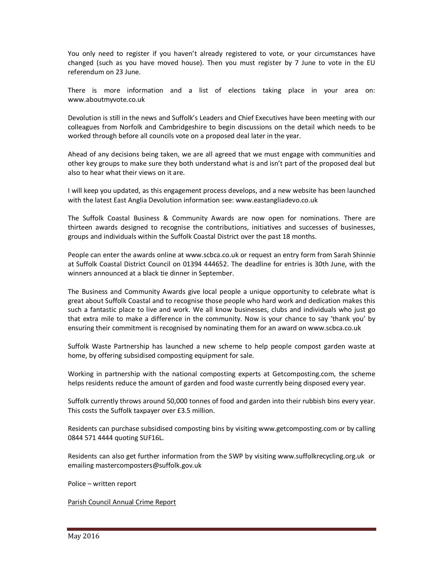You only need to register if you haven't already registered to vote, or your circumstances have changed (such as you have moved house). Then you must register by 7 June to vote in the EU referendum on 23 June.

There is more information and a list of elections taking place in your area on: www.aboutmyvote.co.uk

Devolution is still in the news and Suffolk's Leaders and Chief Executives have been meeting with our colleagues from Norfolk and Cambridgeshire to begin discussions on the detail which needs to be worked through before all councils vote on a proposed deal later in the year.

Ahead of any decisions being taken, we are all agreed that we must engage with communities and other key groups to make sure they both understand what is and isn't part of the proposed deal but also to hear what their views on it are.

I will keep you updated, as this engagement process develops, and a new website has been launched with the latest East Anglia Devolution information see: www.eastangliadevo.co.uk

The Suffolk Coastal Business & Community Awards are now open for nominations. There are thirteen awards designed to recognise the contributions, initiatives and successes of businesses, groups and individuals within the Suffolk Coastal District over the past 18 months.

People can enter the awards online at www.scbca.co.uk or request an entry form from Sarah Shinnie at Suffolk Coastal District Council on 01394 444652. The deadline for entries is 30th June, with the winners announced at a black tie dinner in September.

The Business and Community Awards give local people a unique opportunity to celebrate what is great about Suffolk Coastal and to recognise those people who hard work and dedication makes this such a fantastic place to live and work. We all know businesses, clubs and individuals who just go that extra mile to make a difference in the community. Now is your chance to say 'thank you' by ensuring their commitment is recognised by nominating them for an award on www.scbca.co.uk

Suffolk Waste Partnership has launched a new scheme to help people compost garden waste at home, by offering subsidised composting equipment for sale.

Working in partnership with the national composting experts at Getcomposting.com, the scheme helps residents reduce the amount of garden and food waste currently being disposed every year.

Suffolk currently throws around 50,000 tonnes of food and garden into their rubbish bins every year. This costs the Suffolk taxpayer over £3.5 million.

Residents can purchase subsidised composting bins by visiting www.getcomposting.com or by calling 0844 571 4444 quoting SUF16L.

Residents can also get further information from the SWP by visiting www.suffolkrecycling.org.uk or emailing mastercomposters@suffolk.gov.uk

Police – written report

Parish Council Annual Crime Report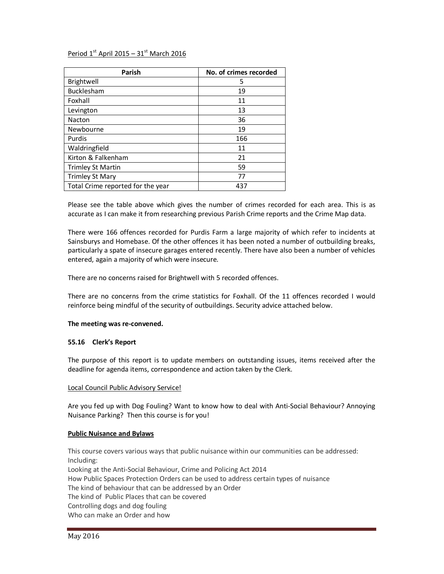# Period  $1<sup>st</sup>$  April 2015 – 31 $<sup>st</sup>$  March 2016</sup>

| Parish                            | No. of crimes recorded |
|-----------------------------------|------------------------|
| Brightwell                        | 5                      |
| <b>Bucklesham</b>                 | 19                     |
| Foxhall                           | 11                     |
| Levington                         | 13                     |
| Nacton                            | 36                     |
| Newbourne                         | 19                     |
| Purdis                            | 166                    |
| Waldringfield                     | 11                     |
| Kirton & Falkenham                | 21                     |
| <b>Trimley St Martin</b>          | 59                     |
| <b>Trimley St Mary</b>            | 77                     |
| Total Crime reported for the year | 437                    |

Please see the table above which gives the number of crimes recorded for each area. This is as accurate as I can make it from researching previous Parish Crime reports and the Crime Map data.

There were 166 offences recorded for Purdis Farm a large majority of which refer to incidents at Sainsburys and Homebase. Of the other offences it has been noted a number of outbuilding breaks, particularly a spate of insecure garages entered recently. There have also been a number of vehicles entered, again a majority of which were insecure.

There are no concerns raised for Brightwell with 5 recorded offences.

There are no concerns from the crime statistics for Foxhall. Of the 11 offences recorded I would reinforce being mindful of the security of outbuildings. Security advice attached below.

## **The meeting was re-convened.**

## **55.16 Clerk's Report**

The purpose of this report is to update members on outstanding issues, items received after the deadline for agenda items, correspondence and action taken by the Clerk.

## Local Council Public Advisory Service!

Are you fed up with Dog Fouling? Want to know how to deal with Anti-Social Behaviour? Annoying Nuisance Parking? Then this course is for you!

#### **Public Nuisance and Bylaws**

This course covers various ways that public nuisance within our communities can be addressed: Including: Looking at the Anti-Social Behaviour, Crime and Policing Act 2014 How Public Spaces Protection Orders can be used to address certain types of nuisance The kind of behaviour that can be addressed by an Order The kind of Public Places that can be covered Controlling dogs and dog fouling Who can make an Order and how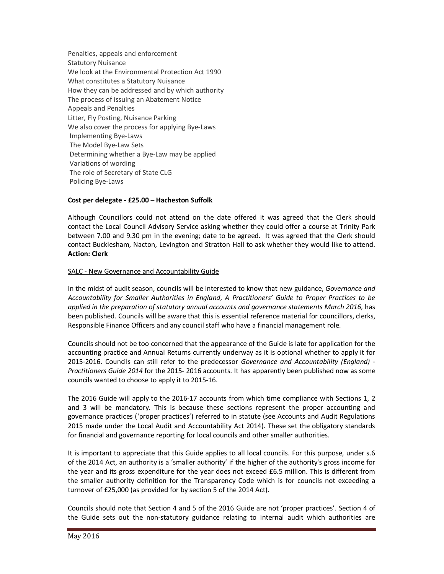Penalties, appeals and enforcement Statutory Nuisance We look at the Environmental Protection Act 1990 What constitutes a Statutory Nuisance How they can be addressed and by which authority The process of issuing an Abatement Notice Appeals and Penalties Litter, Fly Posting, Nuisance Parking We also cover the process for applying Bye-Laws Implementing Bye-Laws The Model Bye-Law Sets Determining whether a Bye-Law may be applied Variations of wording The role of Secretary of State CLG Policing Bye-Laws

# **Cost per delegate - £25.00 – Hacheston Suffolk**

Although Councillors could not attend on the date offered it was agreed that the Clerk should contact the Local Council Advisory Service asking whether they could offer a course at Trinity Park between 7.00 and 9.30 pm in the evening; date to be agreed. It was agreed that the Clerk should contact Bucklesham, Nacton, Levington and Stratton Hall to ask whether they would like to attend. **Action: Clerk**

# SALC - New Governance and Accountability Guide

In the midst of audit season, councils will be interested to know that new guidance, *Governance and Accountability for Smaller Authorities in England*, *A Practitioners' Guide to Proper Practices to be applied in the preparation of statutory annual accounts and governance statements March 2016*, has been published. Councils will be aware that this is essential reference material for councillors, clerks, Responsible Finance Officers and any council staff who have a financial management role.

Councils should not be too concerned that the appearance of the Guide is late for application for the accounting practice and Annual Returns currently underway as it is optional whether to apply it for 2015-2016. Councils can still refer to the predecessor *Governance and Accountability (England) - Practitioners Guide 2014* for the 2015- 2016 accounts. It has apparently been published now as some councils wanted to choose to apply it to 2015-16.

The 2016 Guide will apply to the 2016-17 accounts from which time compliance with Sections 1, 2 and 3 will be mandatory. This is because these sections represent the proper accounting and governance practices ('proper practices') referred to in statute (see Accounts and Audit Regulations 2015 made under the Local Audit and Accountability Act 2014). These set the obligatory standards for financial and governance reporting for local councils and other smaller authorities.

It is important to appreciate that this Guide applies to all local councils. For this purpose, under s.6 of the 2014 Act, an authority is a 'smaller authority' if the higher of the authority's gross income for the year and its gross expenditure for the year does not exceed £6.5 million. This is different from the smaller authority definition for the Transparency Code which is for councils not exceeding a turnover of £25,000 (as provided for by section 5 of the 2014 Act).

Councils should note that Section 4 and 5 of the 2016 Guide are not 'proper practices'. Section 4 of the Guide sets out the non-statutory guidance relating to internal audit which authorities are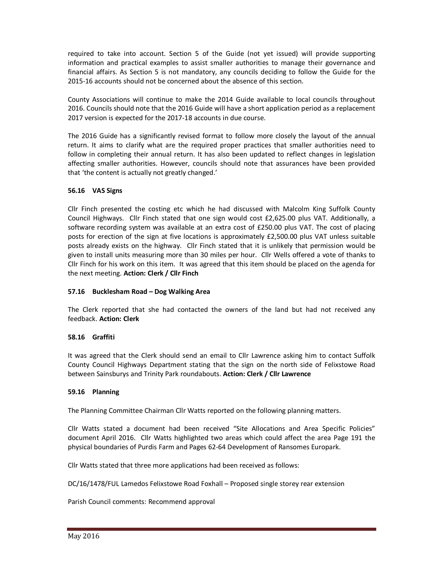required to take into account. Section 5 of the Guide (not yet issued) will provide supporting information and practical examples to assist smaller authorities to manage their governance and financial affairs. As Section 5 is not mandatory, any councils deciding to follow the Guide for the 2015-16 accounts should not be concerned about the absence of this section.

County Associations will continue to make the 2014 Guide available to local councils throughout 2016. Councils should note that the 2016 Guide will have a short application period as a replacement 2017 version is expected for the 2017-18 accounts in due course.

The 2016 Guide has a significantly revised format to follow more closely the layout of the annual return. It aims to clarify what are the required proper practices that smaller authorities need to follow in completing their annual return. It has also been updated to reflect changes in legislation affecting smaller authorities. However, councils should note that assurances have been provided that 'the content is actually not greatly changed.'

# **56.16 VAS Signs**

Cllr Finch presented the costing etc which he had discussed with Malcolm King Suffolk County Council Highways. Cllr Finch stated that one sign would cost £2,625.00 plus VAT. Additionally, a software recording system was available at an extra cost of £250.00 plus VAT. The cost of placing posts for erection of the sign at five locations is approximately £2,500.00 plus VAT unless suitable posts already exists on the highway. Cllr Finch stated that it is unlikely that permission would be given to install units measuring more than 30 miles per hour. Cllr Wells offered a vote of thanks to Cllr Finch for his work on this item. It was agreed that this item should be placed on the agenda for the next meeting. **Action: Clerk / Cllr Finch** 

## **57.16 Bucklesham Road – Dog Walking Area**

The Clerk reported that she had contacted the owners of the land but had not received any feedback. **Action: Clerk** 

## **58.16 Graffiti**

It was agreed that the Clerk should send an email to Cllr Lawrence asking him to contact Suffolk County Council Highways Department stating that the sign on the north side of Felixstowe Road between Sainsburys and Trinity Park roundabouts. **Action: Clerk / Cllr Lawrence** 

## **59.16 Planning**

The Planning Committee Chairman Cllr Watts reported on the following planning matters.

Cllr Watts stated a document had been received "Site Allocations and Area Specific Policies" document April 2016. Cllr Watts highlighted two areas which could affect the area Page 191 the physical boundaries of Purdis Farm and Pages 62-64 Development of Ransomes Europark.

Cllr Watts stated that three more applications had been received as follows:

DC/16/1478/FUL Lamedos Felixstowe Road Foxhall – Proposed single storey rear extension

Parish Council comments: Recommend approval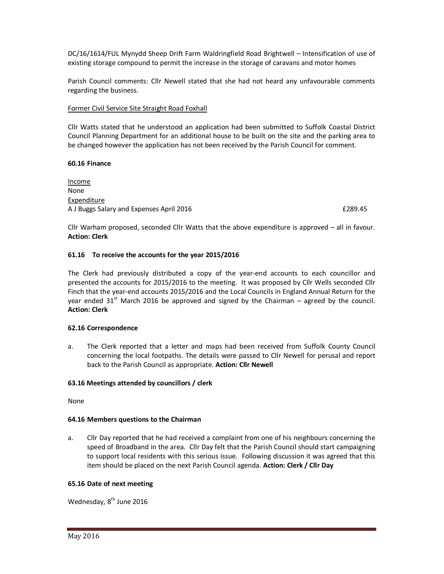DC/16/1614/FUL Mynydd Sheep Drift Farm Waldringfield Road Brightwell – Intensification of use of existing storage compound to permit the increase in the storage of caravans and motor homes

Parish Council comments: Cllr Newell stated that she had not heard any unfavourable comments regarding the business.

## Former Civil Service Site Straight Road Foxhall

Cllr Watts stated that he understood an application had been submitted to Suffolk Coastal District Council Planning Department for an additional house to be built on the site and the parking area to be changed however the application has not been received by the Parish Council for comment.

# **60.16 Finance**

Income None **Expenditure** A J Buggs Salary and Expenses April 2016 **EXPENSION CONSTRUSTED ASSESS** 6.45

Cllr Warham proposed, seconded Cllr Watts that the above expenditure is approved – all in favour. **Action: Clerk** 

# **61.16 To receive the accounts for the year 2015/2016**

The Clerk had previously distributed a copy of the year-end accounts to each councillor and presented the accounts for 2015/2016 to the meeting. It was proposed by Cllr Wells seconded Cllr Finch that the year-end accounts 2015/2016 and the Local Councils in England Annual Return for the year ended 31<sup>st</sup> March 2016 be approved and signed by the Chairman – agreed by the council. **Action: Clerk** 

## **62.16 Correspondence**

a. The Clerk reported that a letter and maps had been received from Suffolk County Council concerning the local footpaths. The details were passed to Cllr Newell for perusal and report back to the Parish Council as appropriate. **Action: Cllr Newell** 

## **63.16 Meetings attended by councillors / clerk**

None

## **64.16 Members questions to the Chairman**

a. Cllr Day reported that he had received a complaint from one of his neighbours concerning the speed of Broadband in the area. Cllr Day felt that the Parish Council should start campaigning to support local residents with this serious issue. Following discussion it was agreed that this item should be placed on the next Parish Council agenda. **Action: Clerk / Cllr Day** 

## **65.16 Date of next meeting**

Wednesday, 8<sup>th</sup> June 2016